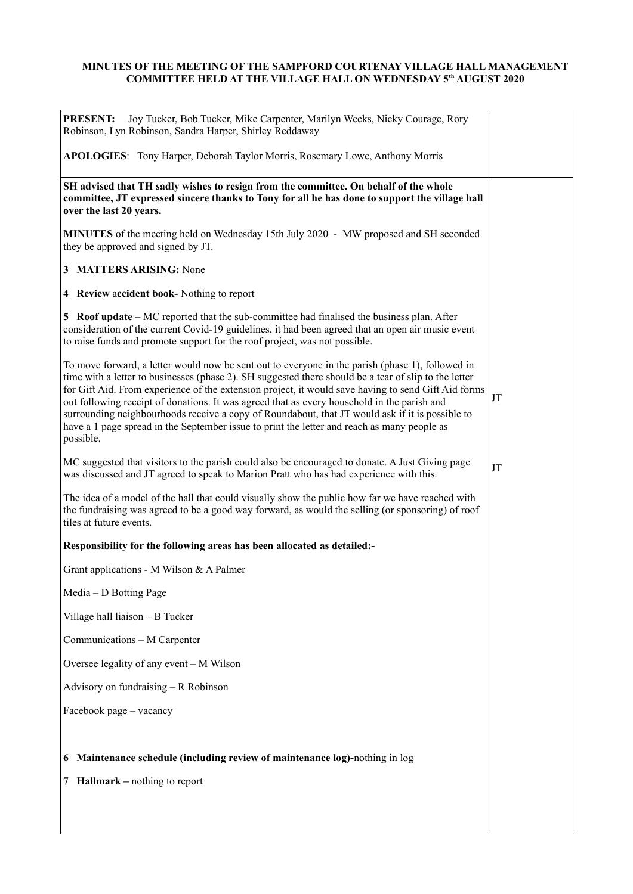## **MINUTES OF THE MEETING OF THE SAMPFORD COURTENAY VILLAGE HALL MANAGEMENT COMMITTEE HELD AT THE VILLAGE HALL ON WEDNESDAY 5th AUGUST 2020**

| Joy Tucker, Bob Tucker, Mike Carpenter, Marilyn Weeks, Nicky Courage, Rory<br><b>PRESENT:</b><br>Robinson, Lyn Robinson, Sandra Harper, Shirley Reddaway                                                                                                                                                                                                                                                                                                                                                                                                                                                                       |    |
|--------------------------------------------------------------------------------------------------------------------------------------------------------------------------------------------------------------------------------------------------------------------------------------------------------------------------------------------------------------------------------------------------------------------------------------------------------------------------------------------------------------------------------------------------------------------------------------------------------------------------------|----|
| APOLOGIES: Tony Harper, Deborah Taylor Morris, Rosemary Lowe, Anthony Morris                                                                                                                                                                                                                                                                                                                                                                                                                                                                                                                                                   |    |
| SH advised that TH sadly wishes to resign from the committee. On behalf of the whole<br>committee, JT expressed sincere thanks to Tony for all he has done to support the village hall<br>over the last 20 years.                                                                                                                                                                                                                                                                                                                                                                                                              |    |
| MINUTES of the meeting held on Wednesday 15th July 2020 - MW proposed and SH seconded<br>they be approved and signed by JT.                                                                                                                                                                                                                                                                                                                                                                                                                                                                                                    |    |
| 3 MATTERS ARISING: None                                                                                                                                                                                                                                                                                                                                                                                                                                                                                                                                                                                                        |    |
| 4 Review accident book- Nothing to report                                                                                                                                                                                                                                                                                                                                                                                                                                                                                                                                                                                      |    |
| 5 Roof update – MC reported that the sub-committee had finalised the business plan. After<br>consideration of the current Covid-19 guidelines, it had been agreed that an open air music event<br>to raise funds and promote support for the roof project, was not possible.                                                                                                                                                                                                                                                                                                                                                   |    |
| To move forward, a letter would now be sent out to everyone in the parish (phase 1), followed in<br>time with a letter to businesses (phase 2). SH suggested there should be a tear of slip to the letter<br>for Gift Aid. From experience of the extension project, it would save having to send Gift Aid forms<br>out following receipt of donations. It was agreed that as every household in the parish and<br>surrounding neighbourhoods receive a copy of Roundabout, that JT would ask if it is possible to<br>have a 1 page spread in the September issue to print the letter and reach as many people as<br>possible. | JT |
| MC suggested that visitors to the parish could also be encouraged to donate. A Just Giving page<br>was discussed and JT agreed to speak to Marion Pratt who has had experience with this.                                                                                                                                                                                                                                                                                                                                                                                                                                      | JT |
| The idea of a model of the hall that could visually show the public how far we have reached with<br>the fundraising was agreed to be a good way forward, as would the selling (or sponsoring) of roof<br>tiles at future events.                                                                                                                                                                                                                                                                                                                                                                                               |    |
| Responsibility for the following areas has been allocated as detailed:-                                                                                                                                                                                                                                                                                                                                                                                                                                                                                                                                                        |    |
| Grant applications - M Wilson & A Palmer                                                                                                                                                                                                                                                                                                                                                                                                                                                                                                                                                                                       |    |
| Media - D Botting Page                                                                                                                                                                                                                                                                                                                                                                                                                                                                                                                                                                                                         |    |
| Village hall liaison - B Tucker                                                                                                                                                                                                                                                                                                                                                                                                                                                                                                                                                                                                |    |
| Communications - M Carpenter                                                                                                                                                                                                                                                                                                                                                                                                                                                                                                                                                                                                   |    |
| Oversee legality of any event - M Wilson                                                                                                                                                                                                                                                                                                                                                                                                                                                                                                                                                                                       |    |
| Advisory on fundraising - R Robinson                                                                                                                                                                                                                                                                                                                                                                                                                                                                                                                                                                                           |    |
| Facebook page - vacancy                                                                                                                                                                                                                                                                                                                                                                                                                                                                                                                                                                                                        |    |
|                                                                                                                                                                                                                                                                                                                                                                                                                                                                                                                                                                                                                                |    |
| 6 Maintenance schedule (including review of maintenance log)-nothing in log                                                                                                                                                                                                                                                                                                                                                                                                                                                                                                                                                    |    |
| 7 Hallmark – nothing to report                                                                                                                                                                                                                                                                                                                                                                                                                                                                                                                                                                                                 |    |
|                                                                                                                                                                                                                                                                                                                                                                                                                                                                                                                                                                                                                                |    |
|                                                                                                                                                                                                                                                                                                                                                                                                                                                                                                                                                                                                                                |    |